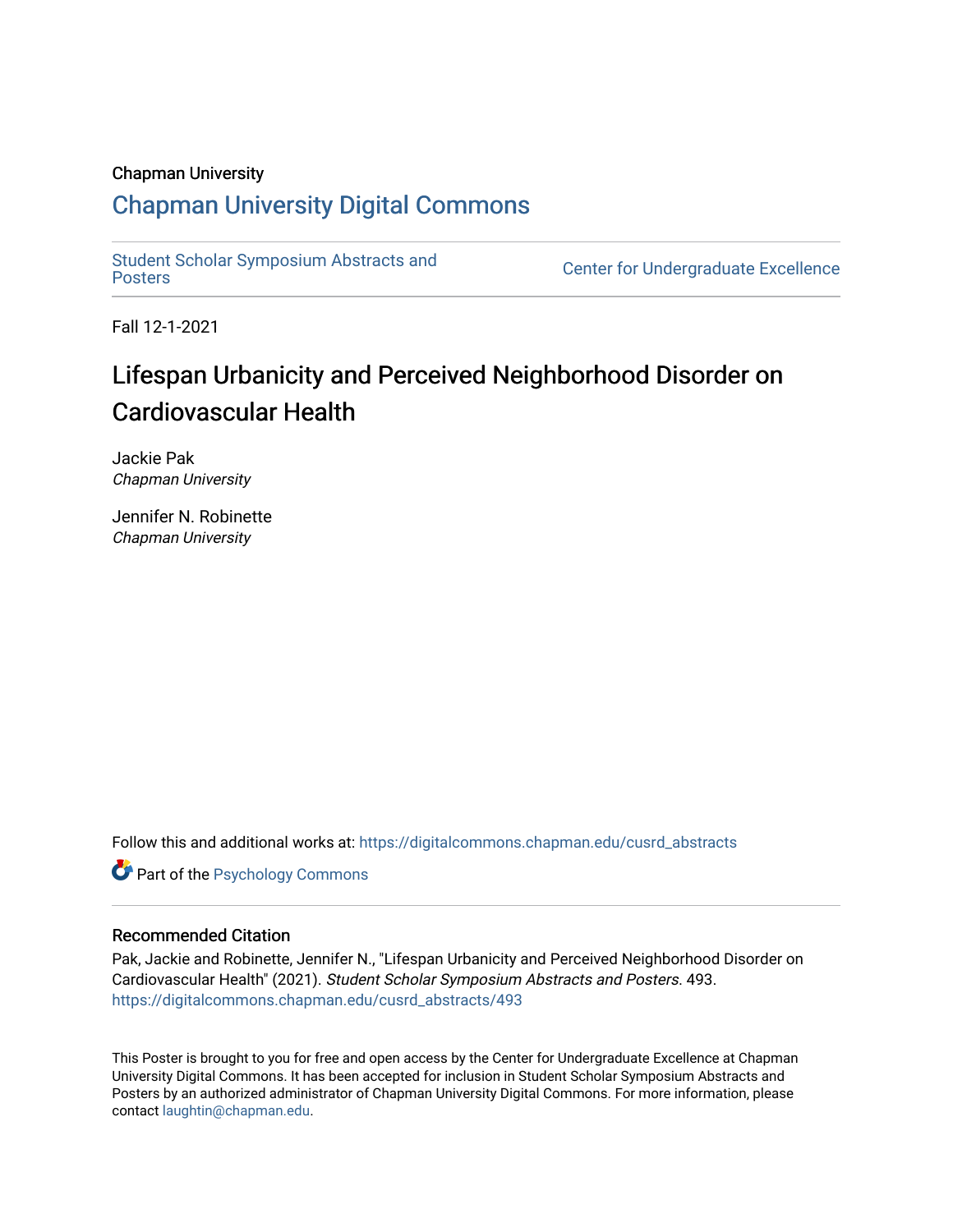### Chapman University

### [Chapman University Digital Commons](https://digitalcommons.chapman.edu/)

[Student Scholar Symposium Abstracts and](https://digitalcommons.chapman.edu/cusrd_abstracts) 

Center for Undergraduate Excellence

Fall 12-1-2021

### Lifespan Urbanicity and Perceived Neighborhood Disorder on Cardiovascular Health

Jackie Pak Chapman University

Jennifer N. Robinette Chapman University

Follow this and additional works at: [https://digitalcommons.chapman.edu/cusrd\\_abstracts](https://digitalcommons.chapman.edu/cusrd_abstracts?utm_source=digitalcommons.chapman.edu%2Fcusrd_abstracts%2F493&utm_medium=PDF&utm_campaign=PDFCoverPages) 

**Part of the Psychology Commons** 

### Recommended Citation

Pak, Jackie and Robinette, Jennifer N., "Lifespan Urbanicity and Perceived Neighborhood Disorder on Cardiovascular Health" (2021). Student Scholar Symposium Abstracts and Posters. 493. [https://digitalcommons.chapman.edu/cusrd\\_abstracts/493](https://digitalcommons.chapman.edu/cusrd_abstracts/493?utm_source=digitalcommons.chapman.edu%2Fcusrd_abstracts%2F493&utm_medium=PDF&utm_campaign=PDFCoverPages) 

This Poster is brought to you for free and open access by the Center for Undergraduate Excellence at Chapman University Digital Commons. It has been accepted for inclusion in Student Scholar Symposium Abstracts and Posters by an authorized administrator of Chapman University Digital Commons. For more information, please contact [laughtin@chapman.edu](mailto:laughtin@chapman.edu).